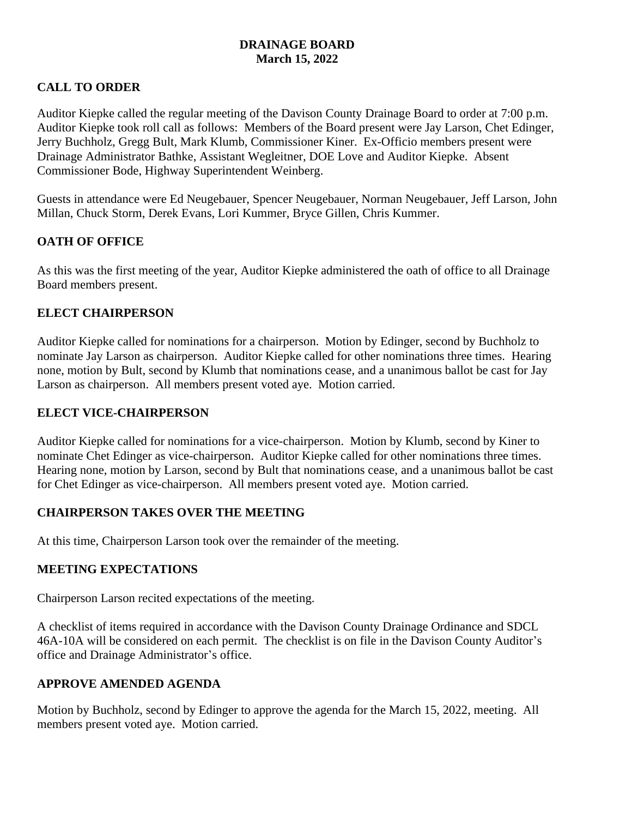### **DRAINAGE BOARD March 15, 2022**

## **CALL TO ORDER**

Auditor Kiepke called the regular meeting of the Davison County Drainage Board to order at 7:00 p.m. Auditor Kiepke took roll call as follows: Members of the Board present were Jay Larson, Chet Edinger, Jerry Buchholz, Gregg Bult, Mark Klumb, Commissioner Kiner. Ex-Officio members present were Drainage Administrator Bathke, Assistant Wegleitner, DOE Love and Auditor Kiepke. Absent Commissioner Bode, Highway Superintendent Weinberg.

Guests in attendance were Ed Neugebauer, Spencer Neugebauer, Norman Neugebauer, Jeff Larson, John Millan, Chuck Storm, Derek Evans, Lori Kummer, Bryce Gillen, Chris Kummer.

## **OATH OF OFFICE**

As this was the first meeting of the year, Auditor Kiepke administered the oath of office to all Drainage Board members present.

## **ELECT CHAIRPERSON**

Auditor Kiepke called for nominations for a chairperson. Motion by Edinger, second by Buchholz to nominate Jay Larson as chairperson. Auditor Kiepke called for other nominations three times. Hearing none, motion by Bult, second by Klumb that nominations cease, and a unanimous ballot be cast for Jay Larson as chairperson. All members present voted aye. Motion carried.

## **ELECT VICE-CHAIRPERSON**

Auditor Kiepke called for nominations for a vice-chairperson. Motion by Klumb, second by Kiner to nominate Chet Edinger as vice-chairperson. Auditor Kiepke called for other nominations three times. Hearing none, motion by Larson, second by Bult that nominations cease, and a unanimous ballot be cast for Chet Edinger as vice-chairperson. All members present voted aye. Motion carried.

## **CHAIRPERSON TAKES OVER THE MEETING**

At this time, Chairperson Larson took over the remainder of the meeting.

#### **MEETING EXPECTATIONS**

Chairperson Larson recited expectations of the meeting.

A checklist of items required in accordance with the Davison County Drainage Ordinance and SDCL 46A-10A will be considered on each permit. The checklist is on file in the Davison County Auditor's office and Drainage Administrator's office.

#### **APPROVE AMENDED AGENDA**

Motion by Buchholz, second by Edinger to approve the agenda for the March 15, 2022, meeting. All members present voted aye. Motion carried.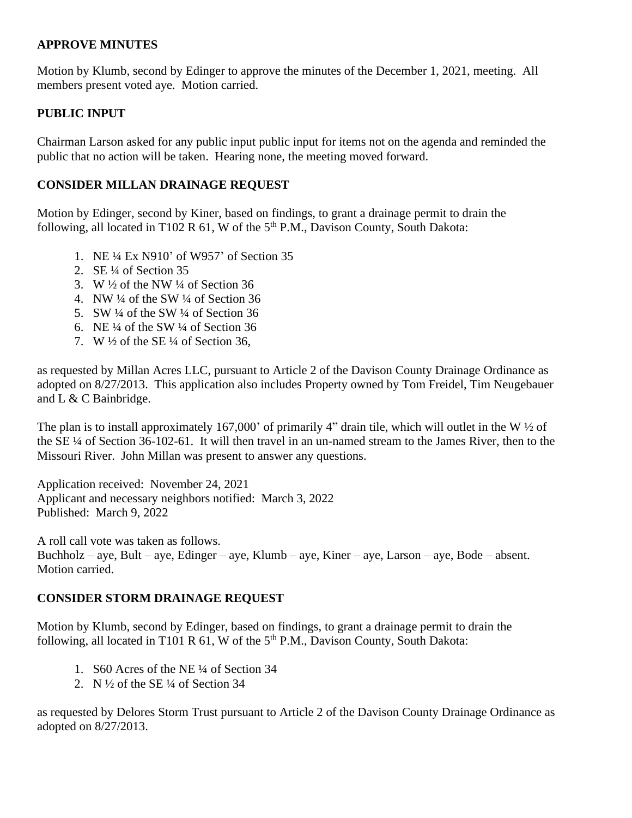#### **APPROVE MINUTES**

Motion by Klumb, second by Edinger to approve the minutes of the December 1, 2021, meeting. All members present voted aye. Motion carried.

#### **PUBLIC INPUT**

Chairman Larson asked for any public input public input for items not on the agenda and reminded the public that no action will be taken. Hearing none, the meeting moved forward.

#### **CONSIDER MILLAN DRAINAGE REQUEST**

Motion by Edinger, second by Kiner, based on findings, to grant a drainage permit to drain the following, all located in T102 R 61, W of the  $5<sup>th</sup>$  P.M., Davison County, South Dakota:

- 1. NE ¼ Ex N910' of W957' of Section 35
- 2. SE ¼ of Section 35
- 3. W  $\frac{1}{2}$  of the NW  $\frac{1}{4}$  of Section 36
- 4. NW  $\frac{1}{4}$  of the SW  $\frac{1}{4}$  of Section 36
- 5. SW ¼ of the SW ¼ of Section 36
- 6. NE  $\frac{1}{4}$  of the SW  $\frac{1}{4}$  of Section 36
- 7. W  $\frac{1}{2}$  of the SE  $\frac{1}{4}$  of Section 36,

as requested by Millan Acres LLC, pursuant to Article 2 of the Davison County Drainage Ordinance as adopted on 8/27/2013. This application also includes Property owned by Tom Freidel, Tim Neugebauer and L & C Bainbridge.

The plan is to install approximately 167,000' of primarily 4" drain tile, which will outlet in the W ½ of the SE ¼ of Section 36-102-61. It will then travel in an un-named stream to the James River, then to the Missouri River. John Millan was present to answer any questions.

Application received: November 24, 2021 Applicant and necessary neighbors notified: March 3, 2022 Published: March 9, 2022

A roll call vote was taken as follows. Buchholz – aye, Bult – aye, Edinger – aye, Klumb – aye, Kiner – aye, Larson – aye, Bode – absent. Motion carried.

#### **CONSIDER STORM DRAINAGE REQUEST**

Motion by Klumb, second by Edinger, based on findings, to grant a drainage permit to drain the following, all located in T101 R  $61$ , W of the  $5<sup>th</sup>$  P.M., Davison County, South Dakota:

- 1. S60 Acres of the NE ¼ of Section 34
- 2. N  $\frac{1}{2}$  of the SE  $\frac{1}{4}$  of Section 34

as requested by Delores Storm Trust pursuant to Article 2 of the Davison County Drainage Ordinance as adopted on 8/27/2013.